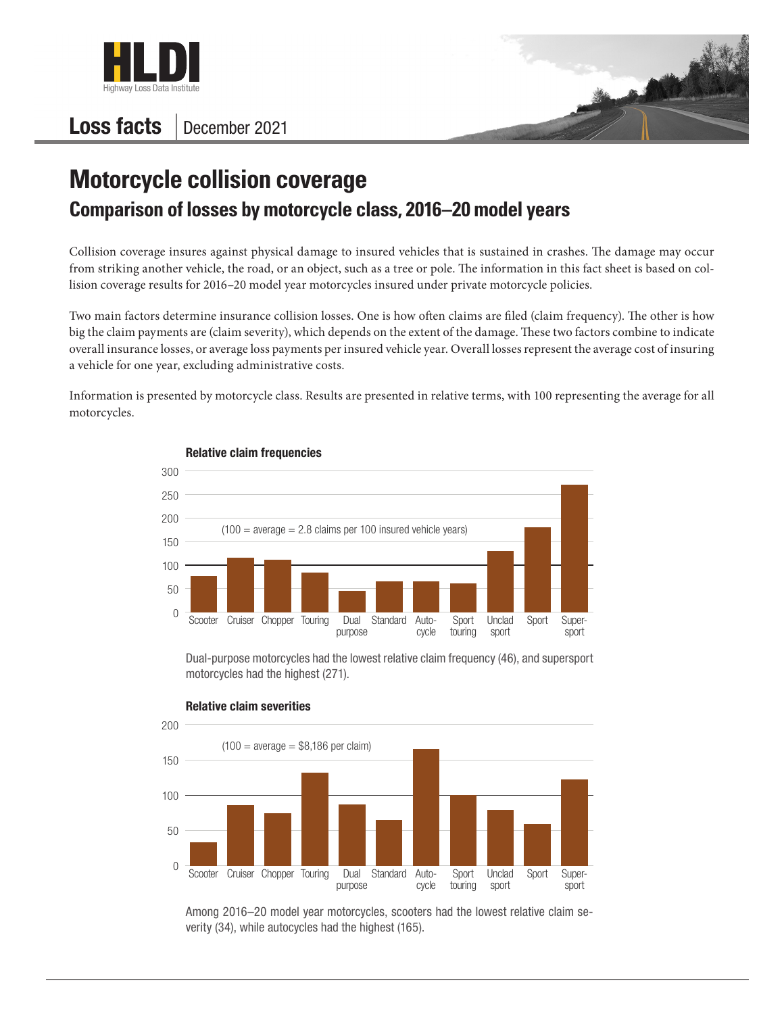

## Loss facts December 2021



## **Motorcycle collision coverage Comparison of losses by motorcycle class, 2016–20 model years**

Collision coverage insures against physical damage to insured vehicles that is sustained in crashes. The damage may occur from striking another vehicle, the road, or an object, such as a tree or pole. The information in this fact sheet is based on collision coverage results for 2016–20 model year motorcycles insured under private motorcycle policies.

Two main factors determine insurance collision losses. One is how often claims are filed (claim frequency). The other is how big the claim payments are (claim severity), which depends on the extent of the damage. These two factors combine to indicate overall insurance losses, or average loss payments per insured vehicle year. Overall losses represent the average cost of insuring a vehicle for one year, excluding administrative costs.

Information is presented by motorcycle class. Results are presented in relative terms, with 100 representing the average for all motorcycles.



Relative claim frequencies

Dual-purpose motorcycles had the lowest relative claim frequency (46), and supersport motorcycles had the highest (271).



Relative claim severities

Among 2016–20 model year motorcycles, scooters had the lowest relative claim severity (34), while autocycles had the highest (165).